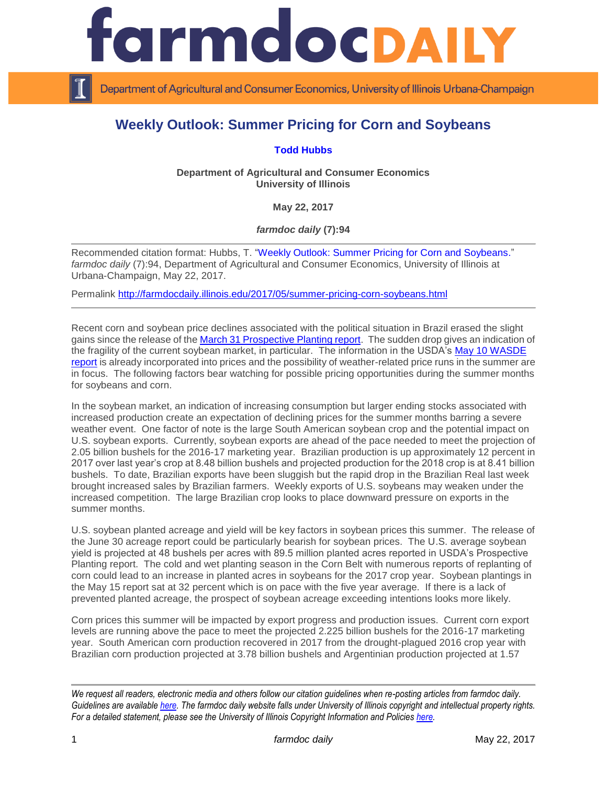

Department of Agricultural and Consumer Economics, University of Illinois Urbana-Champaign

## **Weekly Outlook: Summer Pricing for Corn and Soybeans**

## **[Todd Hubbs](http://ace.illinois.edu/directory/jhubbs3)**

**Department of Agricultural and Consumer Economics University of Illinois**

**May 22, 2017**

*farmdoc daily* **(7):94**

Recommended citation format: Hubbs, T. ["Weekly Outlook: Summer Pricing for Corn and Soybeans.](http://farmdocdaily.illinois.edu/2017/05/summer-pricing-corn-soybeans.html)" *farmdoc daily* (7):94, Department of Agricultural and Consumer Economics, University of Illinois at Urbana-Champaign, May 22, 2017.

Permalink <http://farmdocdaily.illinois.edu/2017/05/summer-pricing-corn-soybeans.html>

Recent corn and soybean price declines associated with the political situation in Brazil erased the slight gains since the release of th[e March 31 Prospective Planting report.](http://usda.mannlib.cornell.edu/usda/nass/ProsPlan/2010s/2017/ProsPlan-03-31-2017.pdf) The sudden drop gives an indication of the fragility of the current soybean market, in particular. The information in the USDA's [May 10 WASDE](http://usda.mannlib.cornell.edu/usda/fas/worldag-production/2010s/2017/worldag-production-05-10-2017.pdf)  [report](http://usda.mannlib.cornell.edu/usda/fas/worldag-production/2010s/2017/worldag-production-05-10-2017.pdf) is already incorporated into prices and the possibility of weather-related price runs in the summer are in focus. The following factors bear watching for possible pricing opportunities during the summer months for soybeans and corn.

In the soybean market, an indication of increasing consumption but larger ending stocks associated with increased production create an expectation of declining prices for the summer months barring a severe weather event. One factor of note is the large South American soybean crop and the potential impact on U.S. soybean exports. Currently, soybean exports are ahead of the pace needed to meet the projection of 2.05 billion bushels for the 2016-17 marketing year. Brazilian production is up approximately 12 percent in 2017 over last year's crop at 8.48 billion bushels and projected production for the 2018 crop is at 8.41 billion bushels. To date, Brazilian exports have been sluggish but the rapid drop in the Brazilian Real last week brought increased sales by Brazilian farmers. Weekly exports of U.S. soybeans may weaken under the increased competition. The large Brazilian crop looks to place downward pressure on exports in the summer months.

U.S. soybean planted acreage and yield will be key factors in soybean prices this summer. The release of the June 30 acreage report could be particularly bearish for soybean prices. The U.S. average soybean yield is projected at 48 bushels per acres with 89.5 million planted acres reported in USDA's Prospective Planting report. The cold and wet planting season in the Corn Belt with numerous reports of replanting of corn could lead to an increase in planted acres in soybeans for the 2017 crop year. Soybean plantings in the May 15 report sat at 32 percent which is on pace with the five year average. If there is a lack of prevented planted acreage, the prospect of soybean acreage exceeding intentions looks more likely.

Corn prices this summer will be impacted by export progress and production issues. Current corn export levels are running above the pace to meet the projected 2.225 billion bushels for the 2016-17 marketing year. South American corn production recovered in 2017 from the drought-plagued 2016 crop year with Brazilian corn production projected at 3.78 billion bushels and Argentinian production projected at 1.57

*We request all readers, electronic media and others follow our citation guidelines when re-posting articles from farmdoc daily. Guidelines are available [here.](http://farmdocdaily.illinois.edu/citationguide.html) The farmdoc daily website falls under University of Illinois copyright and intellectual property rights. For a detailed statement, please see the University of Illinois Copyright Information and Policies [here.](http://www.cio.illinois.edu/policies/copyright/)*